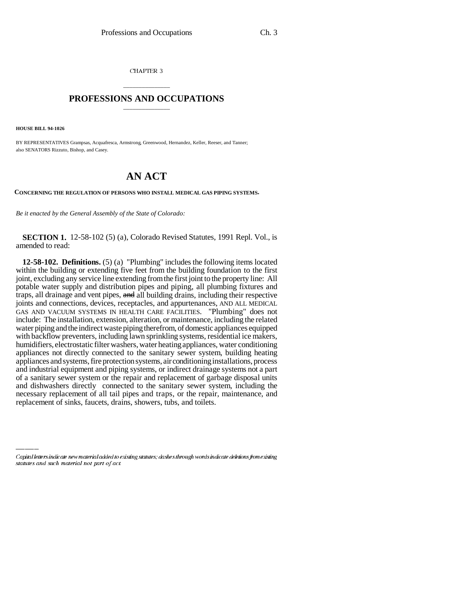CHAPTER 3

## \_\_\_\_\_\_\_\_\_\_\_\_\_\_\_ **PROFESSIONS AND OCCUPATIONS** \_\_\_\_\_\_\_\_\_\_\_\_\_\_\_

**HOUSE BILL 94-1026**

BY REPRESENTATIVES Grampsas, Acquafresca, Armstrong, Greenwood, Hernandez, Keller, Reeser, and Tanner; also SENATORS Rizzuto, Bishop, and Casey.

## **AN ACT**

**CONCERNING THE REGULATION OF PERSONS WHO INSTALL MEDICAL GAS PIPING SYSTEMS.**

*Be it enacted by the General Assembly of the State of Colorado:*

**SECTION 1.** 12-58-102 (5) (a), Colorado Revised Statutes, 1991 Repl. Vol., is amended to read:

necessary replacement of all tail pipes and traps, or the repair, maintenance, and **12-58-102. Definitions.** (5) (a) "Plumbing" includes the following items located within the building or extending five feet from the building foundation to the first joint, excluding any service line extending from the first joint to the property line: All potable water supply and distribution pipes and piping, all plumbing fixtures and traps, all drainage and vent pipes, and all building drains, including their respective joints and connections, devices, receptacles, and appurtenances, AND ALL MEDICAL GAS AND VACUUM SYSTEMS IN HEALTH CARE FACILITIES. "Plumbing" does not include: The installation, extension, alteration, or maintenance, including the related water piping and the indirect waste piping therefrom, of domestic appliances equipped with backflow preventers, including lawn sprinkling systems, residential ice makers, humidifiers, electrostatic filter washers, water heating appliances, water conditioning appliances not directly connected to the sanitary sewer system, building heating appliances and systems, fire protection systems, air conditioning installations, process and industrial equipment and piping systems, or indirect drainage systems not a part of a sanitary sewer system or the repair and replacement of garbage disposal units and dishwashers directly connected to the sanitary sewer system, including the replacement of sinks, faucets, drains, showers, tubs, and toilets.

Capital letters indicate new material added to existing statutes; dashes through words indicate deletions from existing statutes and such material not part of act.